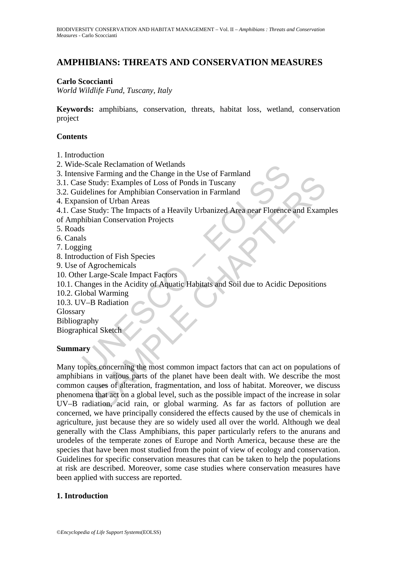# **AMPHIBIANS: THREATS AND CONSERVATION MEASURES**

## **Carlo Scoccianti**

*World Wildlife Fund, Tuscany, Italy* 

**Keywords:** amphibians, conservation, threats, habitat loss, wetland, conservation project

## **Contents**

1. Introduction

2. Wide-Scale Reclamation of Wetlands

3. Intensive Farming and the Change in the Use of Farmland

3.1. Case Study: Examples of Loss of Ponds in Tuscany

3.2. Guidelines for Amphibian Conservation in Farmland

4. Expansion of Urban Areas

4.1. Case Study: The Impacts of a Heavily Urbanized Area near Florence and Examples

of Amphibian Conservation Projects

5. Roads

- 6. Canals
- 7. Logging
- 8. Introduction of Fish Species
- 9. Use of Agrochemicals
- 10. Other Large-Scale Impact Factors
- 10.1. Changes in the Acidity of Aquatic Habitats and Soil due to Acidic Depositions
- 10.2. Global Warming
- 10.3. UV–B Radiation

Glossary

Bibliography

Biographical Sketch

#### **Summary**

-Scale Reclamation of Wetlands<br>
sive Farming and the Change in the Use of Farmland<br>
sive Farming and the Change in the Use of Farmland<br>
idelines for Amphibian Conservation in Farmland<br>
mision of Urban Areas<br>
se Study: The The main and an Context of March Context of March Context of the Context of the Integral<br>
integral in Conservation in Farmland<br>
integral in Conservation Projects<br>
in Conservation Projects<br>
Starting: The Impact Factors<br>
and Many topics concerning the most common impact factors that can act on populations of amphibians in various parts of the planet have been dealt with. We describe the most common causes of alteration, fragmentation, and loss of habitat. Moreover, we discuss phenomena that act on a global level, such as the possible impact of the increase in solar UV–B radiation, acid rain, or global warming. As far as factors of pollution are concerned, we have principally considered the effects caused by the use of chemicals in agriculture, just because they are so widely used all over the world. Although we deal generally with the Class Amphibians, this paper particularly refers to the anurans and urodeles of the temperate zones of Europe and North America, because these are the species that have been most studied from the point of view of ecology and conservation. Guidelines for specific conservation measures that can be taken to help the populations at risk are described. Moreover, some case studies where conservation measures have been applied with success are reported.

## **1. Introduction**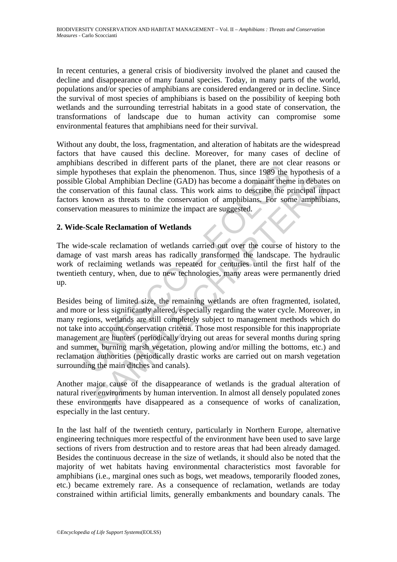In recent centuries, a general crisis of biodiversity involved the planet and caused the decline and disappearance of many faunal species. Today, in many parts of the world, populations and/or species of amphibians are considered endangered or in decline. Since the survival of most species of amphibians is based on the possibility of keeping both wetlands and the surrounding terrestrial habitats in a good state of conservation, the transformations of landscape due to human activity can compromise some environmental features that amphibians need for their survival.

Without any doubt, the loss, fragmentation, and alteration of habitats are the widespread factors that have caused this decline. Moreover, for many cases of decline of amphibians described in different parts of the planet, there are not clear reasons or simple hypotheses that explain the phenomenon. Thus, since 1989 the hypothesis of a possible Global Amphibian Decline (GAD) has become a dominant theme in debates on the conservation of this faunal class. This work aims to describe the principal impact factors known as threats to the conservation of amphibians. For some amphibians, conservation measures to minimize the impact are suggested.

## **2. Wide-Scale Reclamation of Wetlands**

The wide-scale reclamation of wetlands carried out over the course of history to the damage of vast marsh areas has radically transformed the landscape. The hydraulic work of reclaiming wetlands was repeated for centuries until the first half of the twentieth century, when, due to new technologies, many areas were permanently dried up.

alass uses<br>the are in unferent parts of une plane, there are not can<br>bypotheses that explain the phenomenon. Thus, since 1989 the B<br>Global Amphibian Decline (GAD) has become a dominant them<br>servation of this faunal class. lobal Amphibian Decline (GAD) has become a dominant theme in debate<br>lobal Amphibian Decline (GAD) has become a dominant theme in debate<br>vation of this faunal class. This work aims to describe the principal im<br>swn as threat Besides being of limited size, the remaining wetlands are often fragmented, isolated, and more or less significantly altered, especially regarding the water cycle. Moreover, in many regions, wetlands are still completely subject to management methods which do not take into account conservation criteria. Those most responsible for this inappropriate management are hunters (periodically drying out areas for several months during spring and summer, burning marsh vegetation, plowing and/or milling the bottoms, etc.) and reclamation authorities (periodically drastic works are carried out on marsh vegetation surrounding the main ditches and canals).

Another major cause of the disappearance of wetlands is the gradual alteration of natural river environments by human intervention. In almost all densely populated zones these environments have disappeared as a consequence of works of canalization, especially in the last century.

In the last half of the twentieth century, particularly in Northern Europe, alternative engineering techniques more respectful of the environment have been used to save large sections of rivers from destruction and to restore areas that had been already damaged. Besides the continuous decrease in the size of wetlands, it should also be noted that the majority of wet habitats having environmental characteristics most favorable for amphibians (i.e., marginal ones such as bogs, wet meadows, temporarily flooded zones, etc.) became extremely rare. As a consequence of reclamation, wetlands are today constrained within artificial limits, generally embankments and boundary canals. The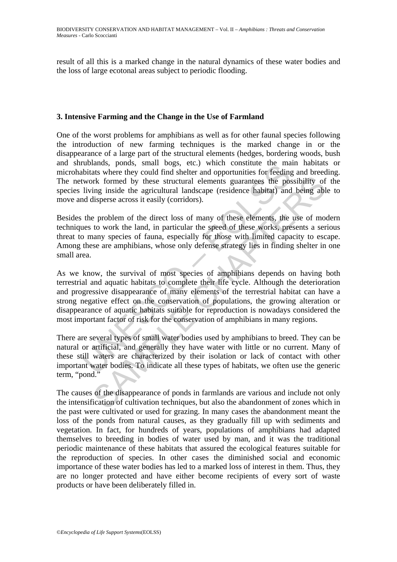result of all this is a marked change in the natural dynamics of these water bodies and the loss of large ecotonal areas subject to periodic flooding.

#### **3. Intensive Farming and the Change in the Use of Farmland**

One of the worst problems for amphibians as well as for other faunal species following the introduction of new farming techniques is the marked change in or the disappearance of a large part of the structural elements (hedges, bordering woods, bush and shrublands, ponds, small bogs, etc.) which constitute the main habitats or microhabitats where they could find shelter and opportunities for feeding and breeding. The network formed by these structural elements guarantees the possibility of the species living inside the agricultural landscape (residence habitat) and being able to move and disperse across it easily (corridors).

Besides the problem of the direct loss of many of these elements, the use of modern techniques to work the land, in particular the speed of these works, presents a serious threat to many species of fauna, especially for those with limited capacity to escape. Among these are amphibians, whose only defense strategy lies in finding shelter in one small area.

momants, points, sinal ongs, etc.) wind consistint the final<br>bibitats where they could find shelter and opportunities for feeding<br>twork formed by these structural elements guarantees the pos-<br>living inside the agricultural For formed by these structural elements guarantees the possibility of<br>ing inside the agricultural landscape (residence habitat) and being ablisperse across it easily (corridors).<br>
E problem of the direct loss of many of th As we know, the survival of most species of amphibians depends on having both terrestrial and aquatic habitats to complete their life cycle. Although the deterioration and progressive disappearance of many elements of the terrestrial habitat can have a strong negative effect on the conservation of populations, the growing alteration or disappearance of aquatic habitats suitable for reproduction is nowadays considered the most important factor of risk for the conservation of amphibians in many regions.

There are several types of small water bodies used by amphibians to breed. They can be natural or artificial, and generally they have water with little or no current. Many of these still waters are characterized by their isolation or lack of contact with other important water bodies. To indicate all these types of habitats, we often use the generic term, "pond."

The causes of the disappearance of ponds in farmlands are various and include not only the intensification of cultivation techniques, but also the abandonment of zones which in the past were cultivated or used for grazing. In many cases the abandonment meant the loss of the ponds from natural causes, as they gradually fill up with sediments and vegetation. In fact, for hundreds of years, populations of amphibians had adapted themselves to breeding in bodies of water used by man, and it was the traditional periodic maintenance of these habitats that assured the ecological features suitable for the reproduction of species. In other cases the diminished social and economic importance of these water bodies has led to a marked loss of interest in them. Thus, they are no longer protected and have either become recipients of every sort of waste products or have been deliberately filled in.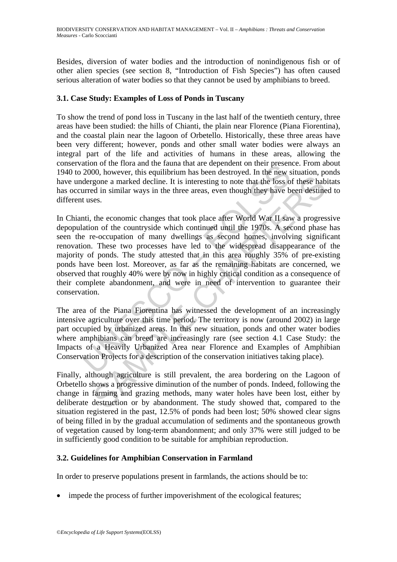Besides, diversion of water bodies and the introduction of nonindigenous fish or of other alien species (see section 8, "Introduction of Fish Species") has often caused serious alteration of water bodies so that they cannot be used by amphibians to breed.

## **3.1. Case Study: Examples of Loss of Ponds in Tuscany**

To show the trend of pond loss in Tuscany in the last half of the twentieth century, three areas have been studied: the hills of Chianti, the plain near Florence (Piana Fiorentina), and the coastal plain near the lagoon of Orbetello. Historically, these three areas have been very different; however, ponds and other small water bodies were always an integral part of the life and activities of humans in these areas, allowing the conservation of the flora and the fauna that are dependent on their presence. From about 1940 to 2000, however, this equilibrium has been destroyed. In the new situation, ponds have undergone a marked decline. It is interesting to note that the loss of these habitats has occurred in similar ways in the three areas, even though they have been destined to different uses.

ablemation in the final and the interest and the conservation of the movement of the mean and the mean determined the mean detroyed. In the new soleting to move that the loss ourred in similar ways in the three areas, even solution and well are the state of the conservation in the state of a free the state of in similar ways in the three areas, even though they have been destineses.<br>
the economic changes that took place after World War II sa In Chianti, the economic changes that took place after World War II saw a progressive depopulation of the countryside which continued until the 1970s. A second phase has seen the re-occupation of many dwellings as second homes, involving significant renovation. These two processes have led to the widespread disappearance of the majority of ponds. The study attested that in this area roughly 35% of pre-existing ponds have been lost. Moreover, as far as the remaining habitats are concerned, we observed that roughly 40% were by now in highly critical condition as a consequence of their complete abandonment, and were in need of intervention to guarantee their conservation.

The area of the Piana Fiorentina has witnessed the development of an increasingly intensive agriculture over this time period. The territory is now (around 2002) in large part occupied by urbanized areas. In this new situation, ponds and other water bodies where amphibians can breed are increasingly rare (see section 4.1 Case Study: the Impacts of a Heavily Urbanized Area near Florence and Examples of Amphibian Conservation Projects for a description of the conservation initiatives taking place).

Finally, although agriculture is still prevalent, the area bordering on the Lagoon of Orbetello shows a progressive diminution of the number of ponds. Indeed, following the change in farming and grazing methods, many water holes have been lost, either by deliberate destruction or by abandonment. The study showed that, compared to the situation registered in the past, 12.5% of ponds had been lost; 50% showed clear signs of being filled in by the gradual accumulation of sediments and the spontaneous growth of vegetation caused by long-term abandonment; and only 37% were still judged to be in sufficiently good condition to be suitable for amphibian reproduction.

## **3.2. Guidelines for Amphibian Conservation in Farmland**

In order to preserve populations present in farmlands, the actions should be to:

impede the process of further impoverishment of the ecological features;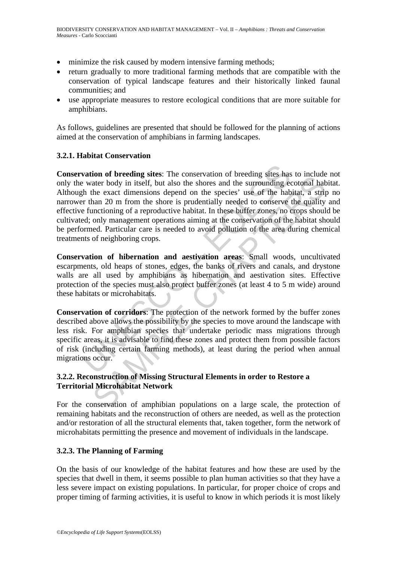- minimize the risk caused by modern intensive farming methods;
- return gradually to more traditional farming methods that are compatible with the conservation of typical landscape features and their historically linked faunal communities; and
- use appropriate measures to restore ecological conditions that are more suitable for amphibians.

As follows, guidelines are presented that should be followed for the planning of actions aimed at the conservation of amphibians in farming landscapes.

## **3.2.1. Habitat Conservation**

**vation of breeding sites**: The conservation of breeding sites has water body in itself, but also the shores and the surrounding ech the exact dimensions depend on the species' use of the haber than 20 m from the shore is not or exercign sues. The conservation or loccular search and the surpounding cootonal habitat bed winds the exact dimensions depend on the species' use of the habitat, a stription of a reproductive habitat. In these balli **Conservation of breeding sites**: The conservation of breeding sites has to include not only the water body in itself, but also the shores and the surrounding ecotonal habitat. Although the exact dimensions depend on the species' use of the habitat, a strip no narrower than 20 m from the shore is prudentially needed to conserve the quality and effective functioning of a reproductive habitat. In these buffer zones, no crops should be cultivated; only management operations aiming at the conservation of the habitat should be performed. Particular care is needed to avoid pollution of the area during chemical treatments of neighboring crops.

**Conservation of hibernation and aestivation areas**: Small woods, uncultivated escarpments, old heaps of stones, edges, the banks of rivers and canals, and drystone walls are all used by amphibians as hibernation and aestivation sites. Effective protection of the species must also protect buffer zones (at least 4 to 5 m wide) around these habitats or microhabitats.

**Conservation of corridors**: The protection of the network formed by the buffer zones described above allows the possibility by the species to move around the landscape with less risk. For amphibian species that undertake periodic mass migrations through specific areas, it is advisable to find these zones and protect them from possible factors of risk (including certain farming methods), at least during the period when annual migrations occur.

## **3.2.2. Reconstruction of Missing Structural Elements in order to Restore a Territorial Microhabitat Network**

For the conservation of amphibian populations on a large scale, the protection of remaining habitats and the reconstruction of others are needed, as well as the protection and/or restoration of all the structural elements that, taken together, form the network of microhabitats permitting the presence and movement of individuals in the landscape.

## **3.2.3. The Planning of Farming**

On the basis of our knowledge of the habitat features and how these are used by the species that dwell in them, it seems possible to plan human activities so that they have a less severe impact on existing populations. In particular, for proper choice of crops and proper timing of farming activities, it is useful to know in which periods it is most likely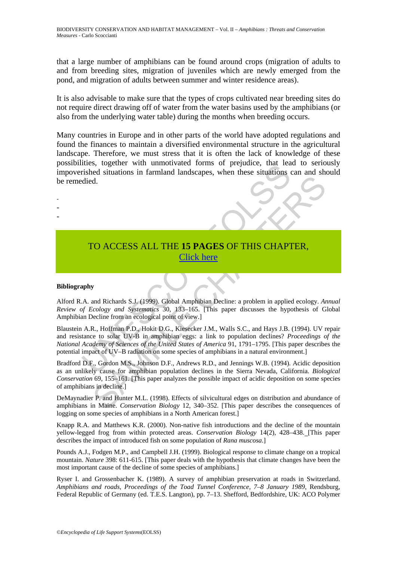that a large number of amphibians can be found around crops (migration of adults to and from breeding sites, migration of juveniles which are newly emerged from the pond, and migration of adults between summer and winter residence areas).

It is also advisable to make sure that the types of crops cultivated near breeding sites do not require direct drawing off of water from the water basins used by the amphibians (or also from the underlying water table) during the months when breeding occurs.

Many countries in Europe and in other parts of the world have adopted regulations and found the finances to maintain a diversified environmental structure in the agricultural landscape. Therefore, we must stress that it is often the lack of knowledge of these possibilities, together with unmotivated forms of prejudice, that lead to seriously impoverished situations in farmland landscapes, when these situations can and should be remedied.

# TO ACCESS ALL THE **15 PAGES** OF THIS CHAPTER, Click here

#### **Bibliography**

- - -

Alford R.A. and Richards S.J. (1999). Global Amphibian Decline: a problem in applied ecology. *Annual Review of Ecology and Systematics* 30, 133–165. [This paper discusses the hypothesis of Global Amphibian Decline from an ecological point of view.]

These, together with diminonvated forms of prejudice, that leads<br>trished situations in farmland landscapes, when these situations of<br>died.<br>These structures in farmland landscapes, when these situations<br>died.<br>The Machards S Blaustein A.R., Hoffman P.D., Hokit D.G., Kiesecker J.M., Walls S.C., and Hays J.B. (1994). UV repair and resistance to solar UV-B in amphibian eggs: a link to population declines? *Proceedings of the National Academy of Sciences of the United States of America* 91, 1791–1795. [This paper describes the potential impact of UV–B radiation on some species of amphibians in a natural environment.]

1.<br>
CO ACCESS ALL THE 15 PAGES OF THIS CHAPTER,<br>
The CHAPTER CHAPTER (See Fact to solve the seed of the seed of the seed of the seed of the seed of the seed of the seed of the seed of the bulk of the seed of the bulk of th Bradford D.F., Gordon M.S., Johnson D.F., Andrews R.D., and Jennings W.B. (1994). Acidic deposition as an unlikely cause for amphibian population declines in the Sierra Nevada, California. *Biological Conservation* 69, 155–161. [This paper analyzes the possible impact of acidic deposition on some species of amphibians in decline.]

DeMaynadier P. and Hunter M.L. (1998). Effects of silvicultural edges on distribution and abundance of amphibians in Maine. *Conservation Biology* 12, 340–352. [This paper describes the consequences of logging on some species of amphibians in a North American forest.]

Knapp R.A. and Matthews K.R. (2000). Non-native fish introductions and the decline of the mountain yellow-legged frog from within protected areas. *Conservation Biology* 14(2), 428–438. [This paper describes the impact of introduced fish on some population of *Rana muscosa*.]

Pounds A.J., Fodgen M.P., and Campbell J.H. (1999). Biological response to climate change on a tropical mountain. *Nature* 398: 611-615. [This paper deals with the hypothesis that climate changes have been the most important cause of the decline of some species of amphibians.]

Ryser I. and Grossenbacher K. (1989). A survey of amphibian preservation at roads in Switzerland. *Amphibians and roads, Proceedings of the Toad Tunnel Conference, 7–8 January 1989*, Rendsburg, Federal Republic of Germany (ed. T.E.S. Langton), pp. 7–13. Shefford, Bedfordshire, UK: ACO Polymer